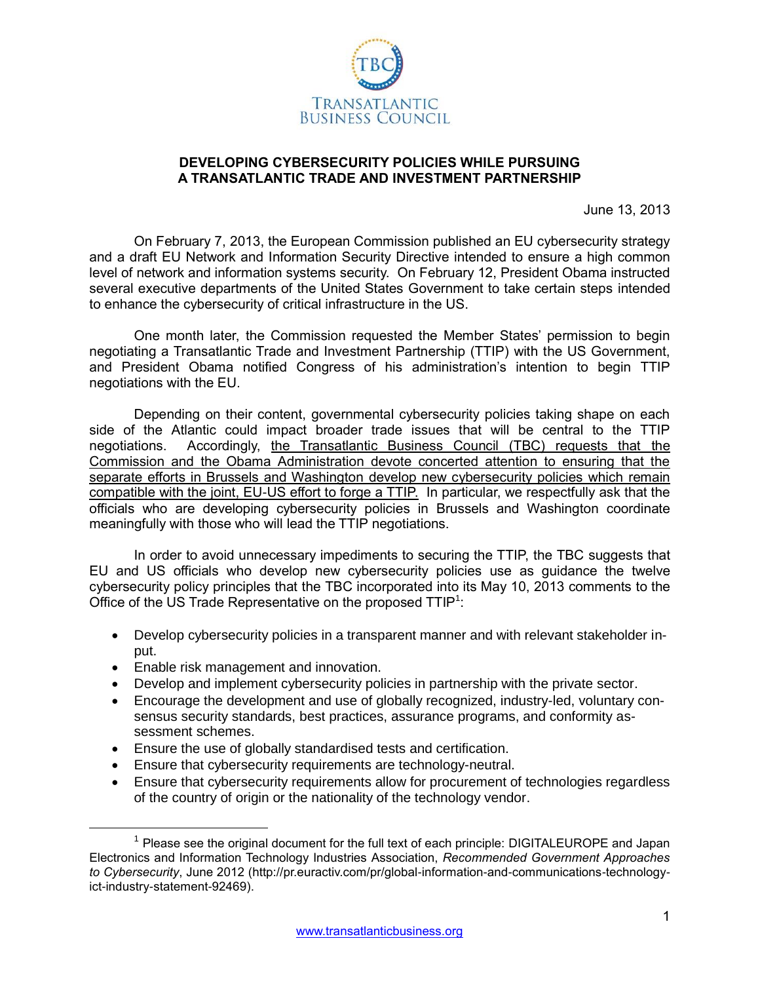

## **DEVELOPING CYBERSECURITY POLICIES WHILE PURSUING A TRANSATLANTIC TRADE AND INVESTMENT PARTNERSHIP**

June 13, 2013

On February 7, 2013, the European Commission published an EU cybersecurity strategy and a draft EU Network and Information Security Directive intended to ensure a high common level of network and information systems security. On February 12, President Obama instructed several executive departments of the United States Government to take certain steps intended to enhance the cybersecurity of critical infrastructure in the US.

One month later, the Commission requested the Member States' permission to begin negotiating a Transatlantic Trade and Investment Partnership (TTIP) with the US Government, and President Obama notified Congress of his administration's intention to begin TTIP negotiations with the EU.

Depending on their content, governmental cybersecurity policies taking shape on each side of the Atlantic could impact broader trade issues that will be central to the TTIP negotiations. Accordingly, the Transatlantic Business Council (TBC) requests that the Commission and the Obama Administration devote concerted attention to ensuring that the separate efforts in Brussels and Washington develop new cybersecurity policies which remain compatible with the joint, EU-US effort to forge a TTIP. In particular, we respectfully ask that the officials who are developing cybersecurity policies in Brussels and Washington coordinate meaningfully with those who will lead the TTIP negotiations.

In order to avoid unnecessary impediments to securing the TTIP, the TBC suggests that EU and US officials who develop new cybersecurity policies use as guidance the twelve cybersecurity policy principles that the TBC incorporated into its May 10, 2013 comments to the Office of the US Trade Representative on the proposed  $TTIP<sup>1</sup>$ :

- Develop cybersecurity policies in a transparent manner and with relevant stakeholder input.
- Enable risk management and innovation.

 $\overline{a}$ 

- Develop and implement cybersecurity policies in partnership with the private sector.
- Encourage the development and use of globally recognized, industry-led, voluntary consensus security standards, best practices, assurance programs, and conformity assessment schemes.
- Ensure the use of globally standardised tests and certification.
- Ensure that cybersecurity requirements are technology-neutral.
- Ensure that cybersecurity requirements allow for procurement of technologies regardless of the country of origin or the nationality of the technology vendor.

 $1$  Please see the original document for the full text of each principle: DIGITALEUROPE and Japan Electronics and Information Technology Industries Association, *Recommended Government Approaches to Cybersecurity*, June 2012 (http://pr.euractiv.com/pr/global-information-and-communications-technologyict-industry-statement-92469).